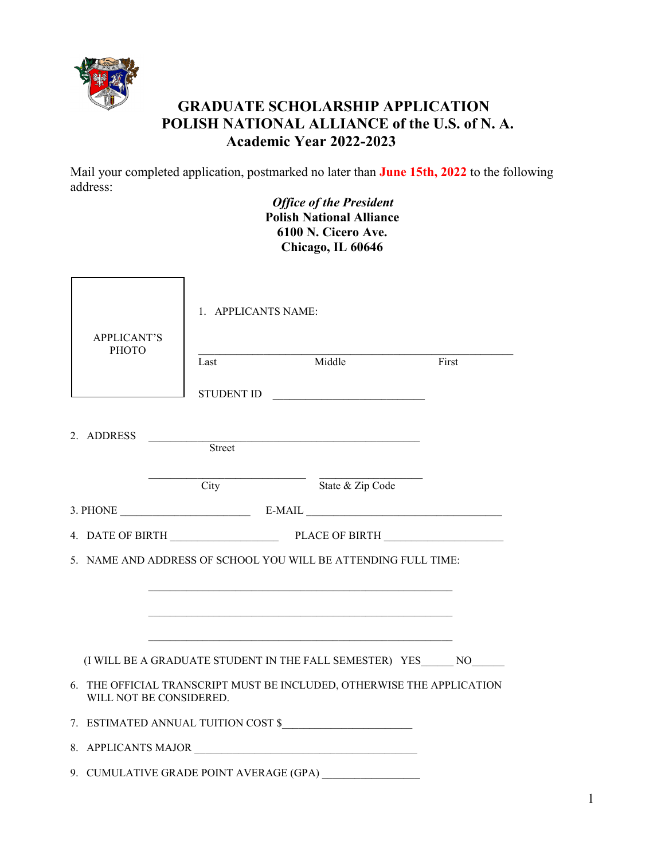

## **GRADUATE SCHOLARSHIP APPLICATION POLISH NATIONAL ALLIANCE of the U.S. of N. A. Academic Year 2022-2023**

Mail your completed application, postmarked no later than **June 15th, 2022** to the following address:

> *Office of the President* **Polish National Alliance 6100 N. Cicero Ave. Chicago, IL 60646**

|  | <b>APPLICANT'S</b>      | 1. APPLICANTS NAME: |  |                                                                        |       |  |
|--|-------------------------|---------------------|--|------------------------------------------------------------------------|-------|--|
|  | <b>PHOTO</b>            | Last                |  | Middle                                                                 | First |  |
|  |                         |                     |  | STUDENT ID                                                             |       |  |
|  | 2. ADDRESS              | Street              |  |                                                                        |       |  |
|  |                         |                     |  | City State & Zip Code                                                  |       |  |
|  |                         |                     |  |                                                                        |       |  |
|  |                         |                     |  |                                                                        |       |  |
|  |                         |                     |  | 5. NAME AND ADDRESS OF SCHOOL YOU WILL BE ATTENDING FULL TIME:         |       |  |
|  |                         |                     |  |                                                                        |       |  |
|  |                         |                     |  |                                                                        |       |  |
|  |                         |                     |  |                                                                        |       |  |
|  |                         |                     |  | (I WILL BE A GRADUATE STUDENT IN THE FALL SEMESTER) YES NO             |       |  |
|  | WILL NOT BE CONSIDERED. |                     |  | 6. THE OFFICIAL TRANSCRIPT MUST BE INCLUDED, OTHERWISE THE APPLICATION |       |  |
|  |                         |                     |  | 7. ESTIMATED ANNUAL TUITION COST \$                                    |       |  |
|  |                         |                     |  | 8. APPLICANTS MAJOR                                                    |       |  |
|  |                         |                     |  | 9. CUMULATIVE GRADE POINT AVERAGE (GPA)                                |       |  |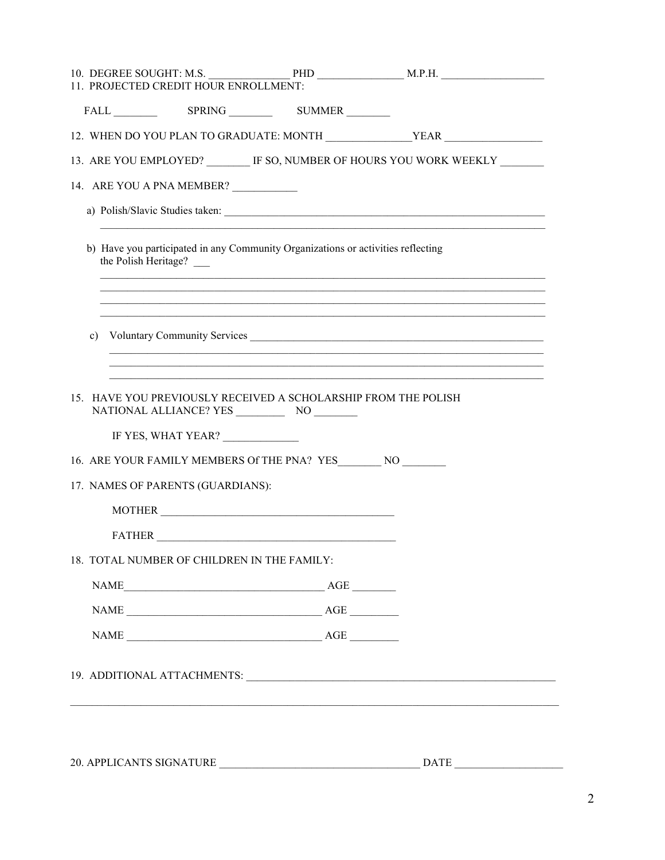| 11. PROJECTED CREDIT HOUR ENROLLMENT:                                                                                                                                                                                                                                                                                                                              |                                                                                                                            |
|--------------------------------------------------------------------------------------------------------------------------------------------------------------------------------------------------------------------------------------------------------------------------------------------------------------------------------------------------------------------|----------------------------------------------------------------------------------------------------------------------------|
| FALL SPRING SUMMER                                                                                                                                                                                                                                                                                                                                                 |                                                                                                                            |
| 12. WHEN DO YOU PLAN TO GRADUATE: MONTH ________________YEAR ___________________                                                                                                                                                                                                                                                                                   |                                                                                                                            |
| 13. ARE YOU EMPLOYED? IF SO, NUMBER OF HOURS YOU WORK WEEKLY                                                                                                                                                                                                                                                                                                       |                                                                                                                            |
| 14. ARE YOU A PNA MEMBER?                                                                                                                                                                                                                                                                                                                                          |                                                                                                                            |
|                                                                                                                                                                                                                                                                                                                                                                    |                                                                                                                            |
| b) Have you participated in any Community Organizations or activities reflecting<br>the Polish Heritage?                                                                                                                                                                                                                                                           |                                                                                                                            |
| c) Voluntary Community Services                                                                                                                                                                                                                                                                                                                                    | <u> 1989 - Johann Stoff, amerikansk politiker (d. 1989)</u><br><u> 1989 - Johann Stoff, amerikansk politiker (d. 1989)</u> |
| 15. HAVE YOU PREVIOUSLY RECEIVED A SCHOLARSHIP FROM THE POLISH<br>IF YES, WHAT YEAR?                                                                                                                                                                                                                                                                               |                                                                                                                            |
| 16. ARE YOUR FAMILY MEMBERS Of THE PNA? YES _______ NO ________<br>17. NAMES OF PARENTS (GUARDIANS):                                                                                                                                                                                                                                                               |                                                                                                                            |
|                                                                                                                                                                                                                                                                                                                                                                    |                                                                                                                            |
|                                                                                                                                                                                                                                                                                                                                                                    |                                                                                                                            |
| 18. TOTAL NUMBER OF CHILDREN IN THE FAMILY:                                                                                                                                                                                                                                                                                                                        |                                                                                                                            |
|                                                                                                                                                                                                                                                                                                                                                                    |                                                                                                                            |
|                                                                                                                                                                                                                                                                                                                                                                    |                                                                                                                            |
|                                                                                                                                                                                                                                                                                                                                                                    |                                                                                                                            |
| $\begin{picture}(150,10) \put(0,0){\vector(1,0){100}} \put(15,0){\vector(1,0){100}} \put(15,0){\vector(1,0){100}} \put(15,0){\vector(1,0){100}} \put(15,0){\vector(1,0){100}} \put(15,0){\vector(1,0){100}} \put(15,0){\vector(1,0){100}} \put(15,0){\vector(1,0){100}} \put(15,0){\vector(1,0){100}} \put(15,0){\vector(1,0){100}} \put(15,0){\vector(1,0){100}}$ |                                                                                                                            |